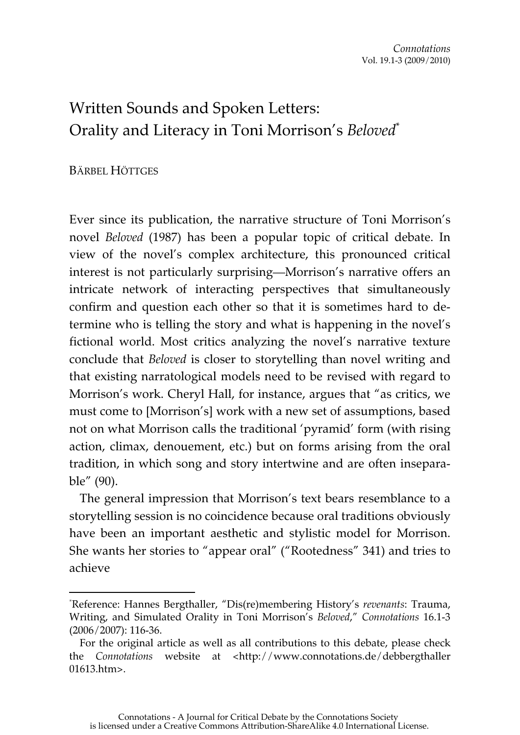## Written Sounds and Spoken Letters: Orality and Literacy in Toni Morrison's *Beloved*\*

## BÄRBEL HÖTTGES

 $\overline{a}$ 

Ever since its publication, the narrative structure of Toni Morrison's novel *Beloved* (1987) has been a popular topic of critical debate. In view of the novel's complex architecture, this pronounced critical interest is not particularly surprising—Morrison's narrative offers an intricate network of interacting perspectives that simultaneously confirm and question each other so that it is sometimes hard to determine who is telling the story and what is happening in the novel's fictional world. Most critics analyzing the novel's narrative texture conclude that *Beloved* is closer to storytelling than novel writing and that existing narratological models need to be revised with regard to Morrison's work. Cheryl Hall, for instance, argues that "as critics, we must come to [Morrison's] work with a new set of assumptions, based not on what Morrison calls the traditional 'pyramid' form (with rising action, climax, denouement, etc.) but on forms arising from the oral tradition, in which song and story intertwine and are often inseparable" (90).

The general impression that Morrison's text bears resemblance to a storytelling session is no coincidence because oral traditions obviously have been an important aesthetic and stylistic model for Morrison. She wants her stories to "appear oral" ("Rootedness" 341) and tries to achieve

<sup>\*</sup> Reference: Hannes Bergthaller, "Dis(re)membering History's *revenants*: Trauma, Writing, and Simulated Orality in Toni Morrison's *Beloved*," *Connotations* 16.1-3 (2006/2007): 116-36.

For the original article as well as all contributions to this debate, please check the *Connotations* website at <http://www.connotations.de/debbergthaller 01613.htm>.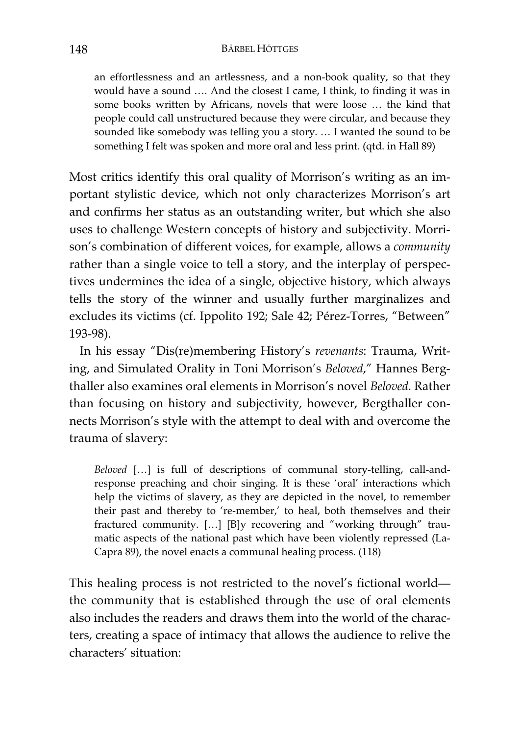an effortlessness and an artlessness, and a non-book quality, so that they would have a sound …. And the closest I came, I think, to finding it was in some books written by Africans, novels that were loose … the kind that people could call unstructured because they were circular, and because they sounded like somebody was telling you a story. … I wanted the sound to be something I felt was spoken and more oral and less print. (qtd. in Hall 89)

Most critics identify this oral quality of Morrison's writing as an important stylistic device, which not only characterizes Morrison's art and confirms her status as an outstanding writer, but which she also uses to challenge Western concepts of history and subjectivity. Morrison's combination of different voices, for example, allows a *community* rather than a single voice to tell a story, and the interplay of perspectives undermines the idea of a single, objective history, which always tells the story of the winner and usually further marginalizes and excludes its victims (cf. Ippolito 192; Sale 42; Pérez-Torres, "Between" 193-98).

In his essay "Dis(re)membering History's *revenants*: Trauma, Writing, and Simulated Orality in Toni Morrison's *Beloved*," Hannes Bergthaller also examines oral elements in Morrison's novel *Beloved*. Rather than focusing on history and subjectivity, however, Bergthaller connects Morrison's style with the attempt to deal with and overcome the trauma of slavery:

*Beloved* […] is full of descriptions of communal story-telling, call-andresponse preaching and choir singing. It is these 'oral' interactions which help the victims of slavery, as they are depicted in the novel, to remember their past and thereby to 're-member,' to heal, both themselves and their fractured community. […] [B]y recovering and "working through" traumatic aspects of the national past which have been violently repressed (La-Capra 89), the novel enacts a communal healing process. (118)

This healing process is not restricted to the novel's fictional world the community that is established through the use of oral elements also includes the readers and draws them into the world of the characters, creating a space of intimacy that allows the audience to relive the characters' situation: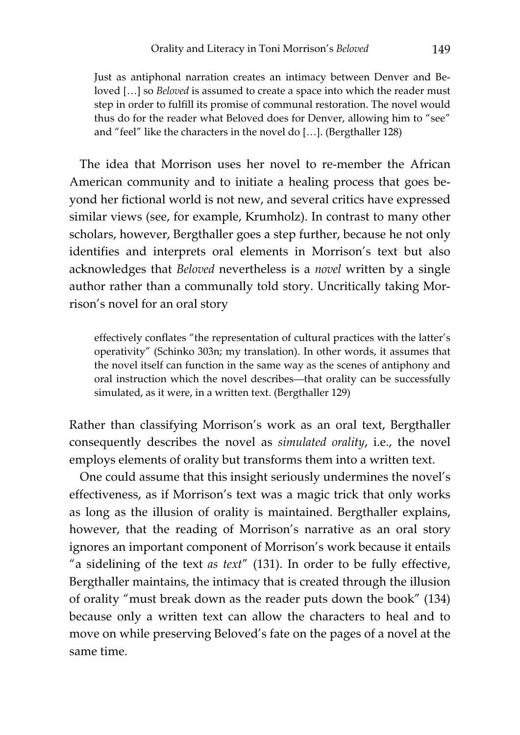Just as antiphonal narration creates an intimacy between Denver and Beloved […] so *Beloved* is assumed to create a space into which the reader must step in order to fulfill its promise of communal restoration. The novel would thus do for the reader what Beloved does for Denver, allowing him to "see" and "feel" like the characters in the novel do […]. (Bergthaller 128)

The idea that Morrison uses her novel to re-member the African American community and to initiate a healing process that goes beyond her fictional world is not new, and several critics have expressed similar views (see, for example, Krumholz). In contrast to many other scholars, however, Bergthaller goes a step further, because he not only identifies and interprets oral elements in Morrison's text but also acknowledges that *Beloved* nevertheless is a *novel* written by a single author rather than a communally told story. Uncritically taking Morrison's novel for an oral story

effectively conflates "the representation of cultural practices with the latter's operativity" (Schinko 303n; my translation). In other words, it assumes that the novel itself can function in the same way as the scenes of antiphony and oral instruction which the novel describes—that orality can be successfully simulated, as it were, in a written text. (Bergthaller 129)

Rather than classifying Morrison's work as an oral text, Bergthaller consequently describes the novel as *simulated orality*, i.e., the novel employs elements of orality but transforms them into a written text.

One could assume that this insight seriously undermines the novel's effectiveness, as if Morrison's text was a magic trick that only works as long as the illusion of orality is maintained. Bergthaller explains, however, that the reading of Morrison's narrative as an oral story ignores an important component of Morrison's work because it entails "a sidelining of the text *as text*" (131). In order to be fully effective, Bergthaller maintains, the intimacy that is created through the illusion of orality "must break down as the reader puts down the book" (134) because only a written text can allow the characters to heal and to move on while preserving Beloved's fate on the pages of a novel at the same time.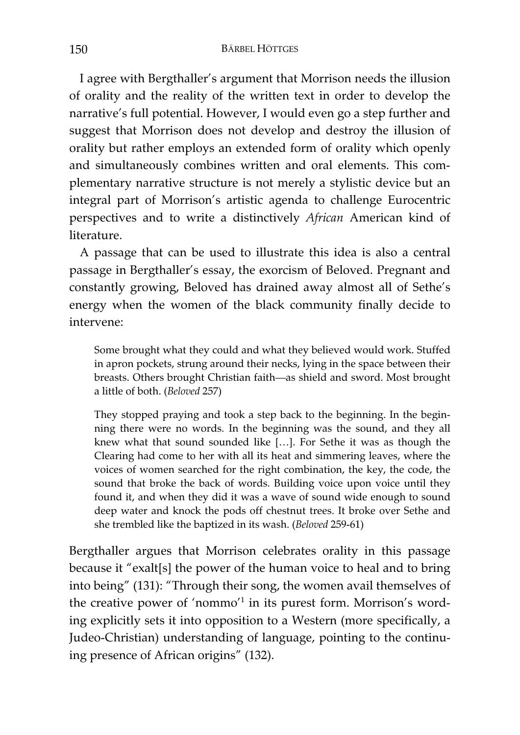I agree with Bergthaller's argument that Morrison needs the illusion of orality and the reality of the written text in order to develop the narrative's full potential. However, I would even go a step further and suggest that Morrison does not develop and destroy the illusion of orality but rather employs an extended form of orality which openly and simultaneously combines written and oral elements. This complementary narrative structure is not merely a stylistic device but an integral part of Morrison's artistic agenda to challenge Eurocentric perspectives and to write a distinctively *African* American kind of literature.

A passage that can be used to illustrate this idea is also a central passage in Bergthaller's essay, the exorcism of Beloved. Pregnant and constantly growing, Beloved has drained away almost all of Sethe's energy when the women of the black community finally decide to intervene:

Some brought what they could and what they believed would work. Stuffed in apron pockets, strung around their necks, lying in the space between their breasts. Others brought Christian faith—as shield and sword. Most brought a little of both. (*Beloved* 257)

They stopped praying and took a step back to the beginning. In the beginning there were no words. In the beginning was the sound, and they all knew what that sound sounded like […]. For Sethe it was as though the Clearing had come to her with all its heat and simmering leaves, where the voices of women searched for the right combination, the key, the code, the sound that broke the back of words. Building voice upon voice until they found it, and when they did it was a wave of sound wide enough to sound deep water and knock the pods off chestnut trees. It broke over Sethe and she trembled like the baptized in its wash. (*Beloved* 259-61)

Bergthaller argues that Morrison celebrates orality in this passage because it "exalt[s] the power of the human voice to heal and to bring into being" (131): "Through their song, the women avail themselves of the creative power of 'nommo'<sup>1</sup> in its purest form. Morrison's wording explicitly sets it into opposition to a Western (more specifically, a Judeo-Christian) understanding of language, pointing to the continuing presence of African origins" (132).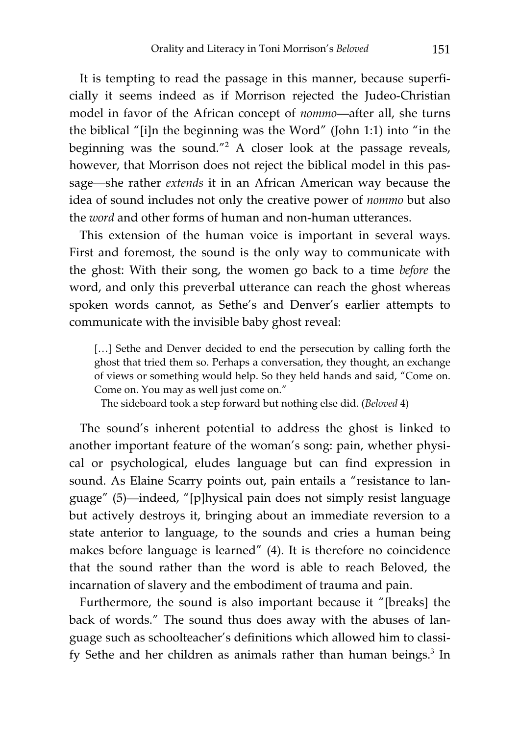It is tempting to read the passage in this manner, because superficially it seems indeed as if Morrison rejected the Judeo-Christian model in favor of the African concept of *nommo*—after all, she turns the biblical "[i]n the beginning was the Word" (John 1:1) into "in the beginning was the sound."<sup>2</sup> A closer look at the passage reveals, however, that Morrison does not reject the biblical model in this passage—she rather *extends* it in an African American way because the idea of sound includes not only the creative power of *nommo* but also the *word* and other forms of human and non-human utterances.

This extension of the human voice is important in several ways. First and foremost, the sound is the only way to communicate with the ghost: With their song, the women go back to a time *before* the word, and only this preverbal utterance can reach the ghost whereas spoken words cannot, as Sethe's and Denver's earlier attempts to communicate with the invisible baby ghost reveal:

[...] Sethe and Denver decided to end the persecution by calling forth the ghost that tried them so. Perhaps a conversation, they thought, an exchange of views or something would help. So they held hands and said, "Come on. Come on. You may as well just come on."

The sideboard took a step forward but nothing else did. (*Beloved* 4)

The sound's inherent potential to address the ghost is linked to another important feature of the woman's song: pain, whether physical or psychological, eludes language but can find expression in sound. As Elaine Scarry points out, pain entails a "resistance to language" (5)—indeed, "[p]hysical pain does not simply resist language but actively destroys it, bringing about an immediate reversion to a state anterior to language, to the sounds and cries a human being makes before language is learned" (4). It is therefore no coincidence that the sound rather than the word is able to reach Beloved, the incarnation of slavery and the embodiment of trauma and pain.

Furthermore, the sound is also important because it "[breaks] the back of words." The sound thus does away with the abuses of language such as schoolteacher's definitions which allowed him to classify Sethe and her children as animals rather than human beings.<sup>3</sup> In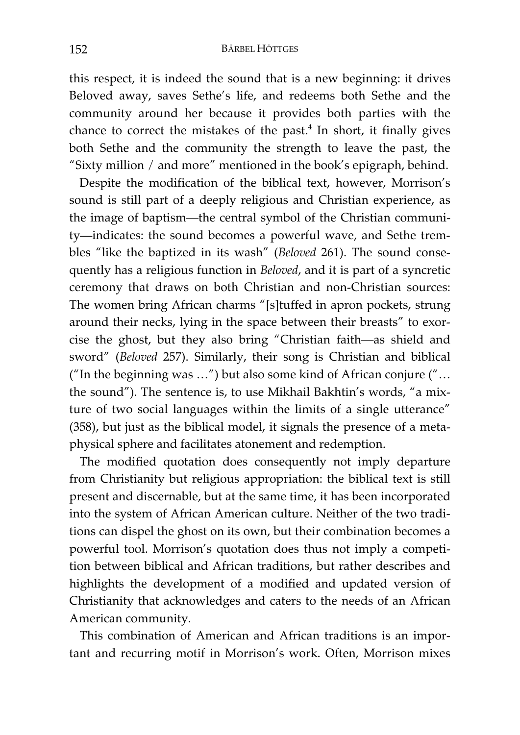this respect, it is indeed the sound that is a new beginning: it drives Beloved away, saves Sethe's life, and redeems both Sethe and the community around her because it provides both parties with the chance to correct the mistakes of the past. $4$  In short, it finally gives both Sethe and the community the strength to leave the past, the "Sixty million / and more" mentioned in the book's epigraph, behind.

Despite the modification of the biblical text, however, Morrison's sound is still part of a deeply religious and Christian experience, as the image of baptism—the central symbol of the Christian community—indicates: the sound becomes a powerful wave, and Sethe trembles "like the baptized in its wash" (*Beloved* 261). The sound consequently has a religious function in *Beloved*, and it is part of a syncretic ceremony that draws on both Christian and non-Christian sources: The women bring African charms "[s]tuffed in apron pockets, strung around their necks, lying in the space between their breasts" to exorcise the ghost, but they also bring "Christian faith—as shield and sword" (*Beloved* 257). Similarly, their song is Christian and biblical ("In the beginning was …") but also some kind of African conjure ("… the sound"). The sentence is, to use Mikhail Bakhtin's words, "a mixture of two social languages within the limits of a single utterance" (358), but just as the biblical model, it signals the presence of a metaphysical sphere and facilitates atonement and redemption.

The modified quotation does consequently not imply departure from Christianity but religious appropriation: the biblical text is still present and discernable, but at the same time, it has been incorporated into the system of African American culture. Neither of the two traditions can dispel the ghost on its own, but their combination becomes a powerful tool. Morrison's quotation does thus not imply a competition between biblical and African traditions, but rather describes and highlights the development of a modified and updated version of Christianity that acknowledges and caters to the needs of an African American community.

This combination of American and African traditions is an important and recurring motif in Morrison's work. Often, Morrison mixes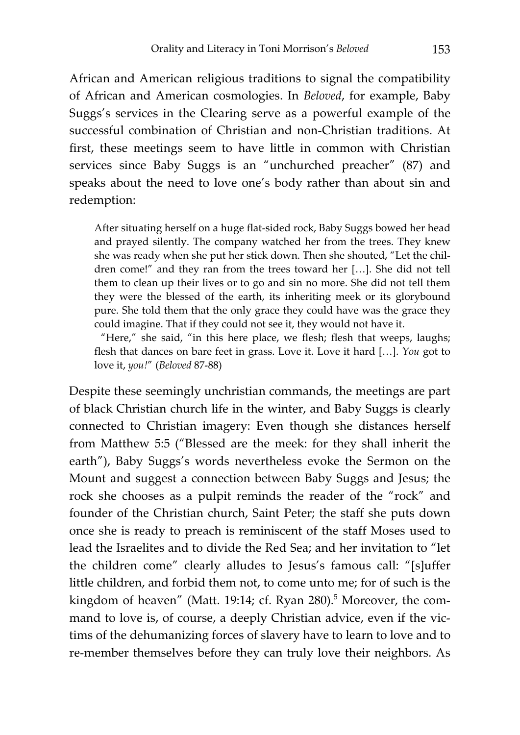African and American religious traditions to signal the compatibility of African and American cosmologies. In *Beloved*, for example, Baby Suggs's services in the Clearing serve as a powerful example of the successful combination of Christian and non-Christian traditions. At first, these meetings seem to have little in common with Christian services since Baby Suggs is an "unchurched preacher" (87) and speaks about the need to love one's body rather than about sin and redemption:

After situating herself on a huge flat-sided rock, Baby Suggs bowed her head and prayed silently. The company watched her from the trees. They knew she was ready when she put her stick down. Then she shouted, "Let the children come!" and they ran from the trees toward her […]. She did not tell them to clean up their lives or to go and sin no more. She did not tell them they were the blessed of the earth, its inheriting meek or its glorybound pure. She told them that the only grace they could have was the grace they could imagine. That if they could not see it, they would not have it.

 "Here," she said, "in this here place, we flesh; flesh that weeps, laughs; flesh that dances on bare feet in grass. Love it. Love it hard […]. *You* got to love it, *you!*" (*Beloved* 87-88)

Despite these seemingly unchristian commands, the meetings are part of black Christian church life in the winter, and Baby Suggs is clearly connected to Christian imagery: Even though she distances herself from Matthew 5:5 ("Blessed are the meek: for they shall inherit the earth"), Baby Suggs's words nevertheless evoke the Sermon on the Mount and suggest a connection between Baby Suggs and Jesus; the rock she chooses as a pulpit reminds the reader of the "rock" and founder of the Christian church, Saint Peter; the staff she puts down once she is ready to preach is reminiscent of the staff Moses used to lead the Israelites and to divide the Red Sea; and her invitation to "let the children come" clearly alludes to Jesus's famous call: "[s]uffer little children, and forbid them not, to come unto me; for of such is the kingdom of heaven" (Matt. 19:14; cf. Ryan 280).<sup>5</sup> Moreover, the command to love is, of course, a deeply Christian advice, even if the victims of the dehumanizing forces of slavery have to learn to love and to re-member themselves before they can truly love their neighbors. As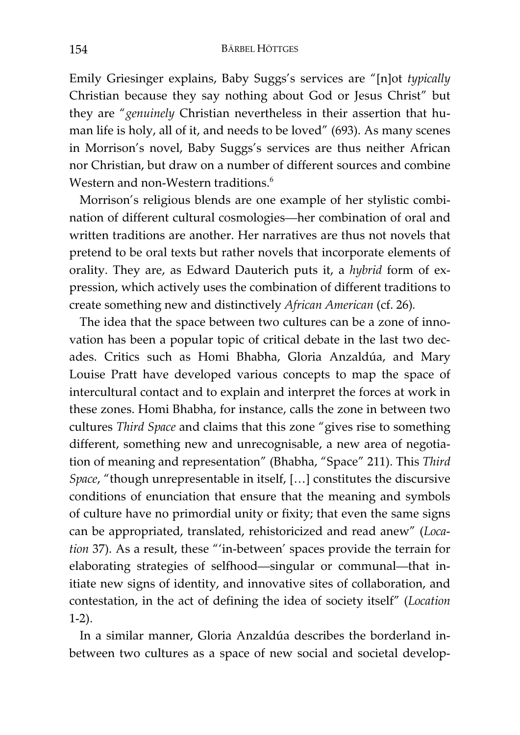Emily Griesinger explains, Baby Suggs's services are "[n]ot *typically* Christian because they say nothing about God or Jesus Christ" but they are "*genuinely* Christian nevertheless in their assertion that human life is holy, all of it, and needs to be loved" (693). As many scenes in Morrison's novel, Baby Suggs's services are thus neither African nor Christian, but draw on a number of different sources and combine Western and non-Western traditions.<sup>6</sup>

Morrison's religious blends are one example of her stylistic combination of different cultural cosmologies—her combination of oral and written traditions are another. Her narratives are thus not novels that pretend to be oral texts but rather novels that incorporate elements of orality. They are, as Edward Dauterich puts it, a *hybrid* form of expression, which actively uses the combination of different traditions to create something new and distinctively *African American* (cf. 26)*.*

The idea that the space between two cultures can be a zone of innovation has been a popular topic of critical debate in the last two decades. Critics such as Homi Bhabha, Gloria Anzaldúa, and Mary Louise Pratt have developed various concepts to map the space of intercultural contact and to explain and interpret the forces at work in these zones. Homi Bhabha, for instance, calls the zone in between two cultures *Third Space* and claims that this zone "gives rise to something different, something new and unrecognisable, a new area of negotiation of meaning and representation" (Bhabha, "Space" 211). This *Third Space*, "though unrepresentable in itself, […] constitutes the discursive conditions of enunciation that ensure that the meaning and symbols of culture have no primordial unity or fixity; that even the same signs can be appropriated, translated, rehistoricized and read anew" (*Location* 37). As a result, these "'in-between' spaces provide the terrain for elaborating strategies of selfhood—singular or communal—that initiate new signs of identity, and innovative sites of collaboration, and contestation, in the act of defining the idea of society itself" (*Location* 1-2).

In a similar manner, Gloria Anzaldúa describes the borderland inbetween two cultures as a space of new social and societal develop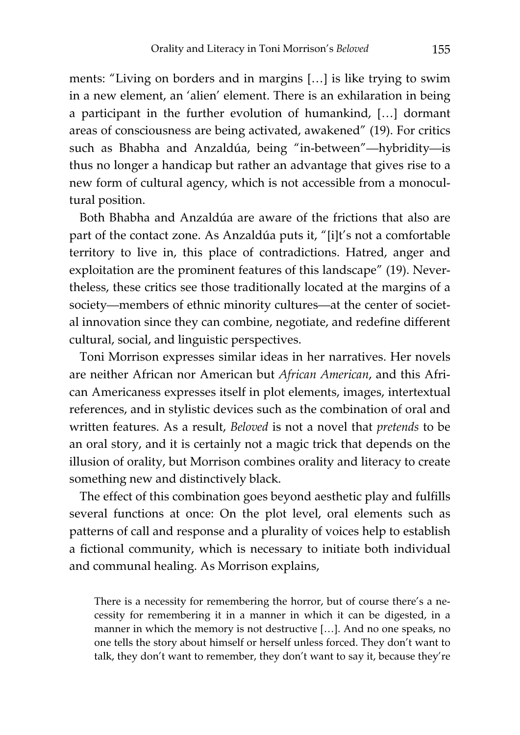ments: "Living on borders and in margins […] is like trying to swim in a new element, an 'alien' element. There is an exhilaration in being a participant in the further evolution of humankind, […] dormant areas of consciousness are being activated, awakened" (19). For critics such as Bhabha and Anzaldúa, being "in-between"—hybridity—is thus no longer a handicap but rather an advantage that gives rise to a new form of cultural agency, which is not accessible from a monocultural position.

Both Bhabha and Anzaldúa are aware of the frictions that also are part of the contact zone. As Anzaldúa puts it, "[i]t's not a comfortable territory to live in, this place of contradictions. Hatred, anger and exploitation are the prominent features of this landscape" (19). Nevertheless, these critics see those traditionally located at the margins of a society—members of ethnic minority cultures—at the center of societal innovation since they can combine, negotiate, and redefine different cultural, social, and linguistic perspectives.

Toni Morrison expresses similar ideas in her narratives. Her novels are neither African nor American but *African American*, and this African Americaness expresses itself in plot elements, images, intertextual references, and in stylistic devices such as the combination of oral and written features. As a result, *Beloved* is not a novel that *pretends* to be an oral story, and it is certainly not a magic trick that depends on the illusion of orality, but Morrison combines orality and literacy to create something new and distinctively black.

The effect of this combination goes beyond aesthetic play and fulfills several functions at once: On the plot level, oral elements such as patterns of call and response and a plurality of voices help to establish a fictional community, which is necessary to initiate both individual and communal healing. As Morrison explains,

There is a necessity for remembering the horror, but of course there's a necessity for remembering it in a manner in which it can be digested, in a manner in which the memory is not destructive […]. And no one speaks, no one tells the story about himself or herself unless forced. They don't want to talk, they don't want to remember, they don't want to say it, because they're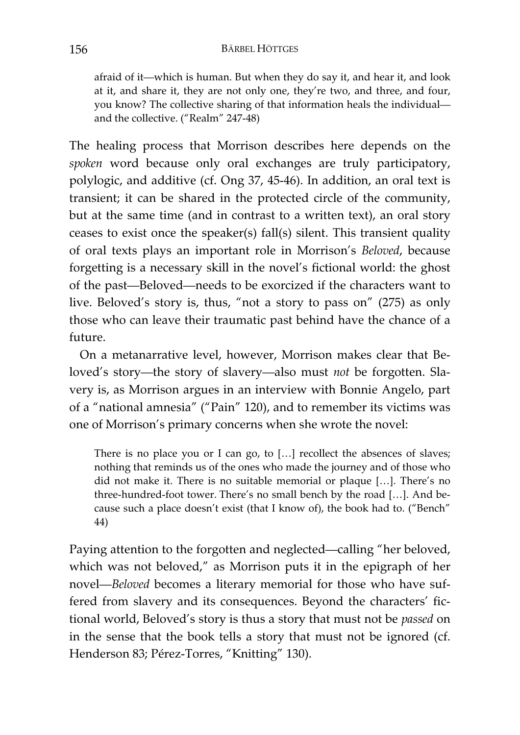afraid of it—which is human. But when they do say it, and hear it, and look at it, and share it, they are not only one, they're two, and three, and four, you know? The collective sharing of that information heals the individual and the collective. ("Realm" 247-48)

The healing process that Morrison describes here depends on the *spoken* word because only oral exchanges are truly participatory, polylogic, and additive (cf. Ong 37, 45-46). In addition, an oral text is transient; it can be shared in the protected circle of the community, but at the same time (and in contrast to a written text), an oral story ceases to exist once the speaker(s) fall(s) silent. This transient quality of oral texts plays an important role in Morrison's *Beloved*, because forgetting is a necessary skill in the novel's fictional world: the ghost of the past—Beloved—needs to be exorcized if the characters want to live. Beloved's story is, thus, "not a story to pass on" (275) as only those who can leave their traumatic past behind have the chance of a future.

On a metanarrative level, however, Morrison makes clear that Beloved's story—the story of slavery—also must *not* be forgotten. Slavery is, as Morrison argues in an interview with Bonnie Angelo, part of a "national amnesia" ("Pain" 120), and to remember its victims was one of Morrison's primary concerns when she wrote the novel:

There is no place you or I can go, to […] recollect the absences of slaves; nothing that reminds us of the ones who made the journey and of those who did not make it. There is no suitable memorial or plaque […]. There's no three-hundred-foot tower. There's no small bench by the road […]. And because such a place doesn't exist (that I know of), the book had to. ("Bench" 44)

Paying attention to the forgotten and neglected—calling "her beloved, which was not beloved," as Morrison puts it in the epigraph of her novel—*Beloved* becomes a literary memorial for those who have suffered from slavery and its consequences. Beyond the characters' fictional world, Beloved's story is thus a story that must not be *passed* on in the sense that the book tells a story that must not be ignored (cf. Henderson 83; Pérez-Torres, "Knitting" 130).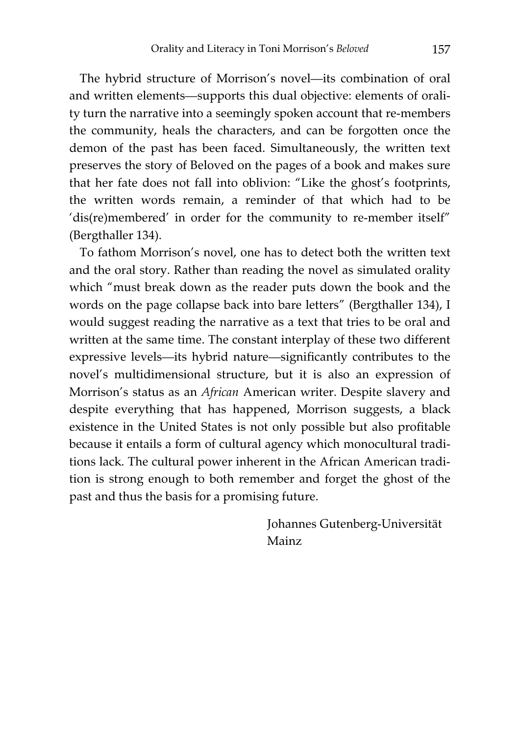The hybrid structure of Morrison's novel—its combination of oral and written elements—supports this dual objective: elements of orality turn the narrative into a seemingly spoken account that re-members the community, heals the characters, and can be forgotten once the demon of the past has been faced. Simultaneously, the written text preserves the story of Beloved on the pages of a book and makes sure that her fate does not fall into oblivion: "Like the ghost's footprints, the written words remain, a reminder of that which had to be 'dis(re)membered' in order for the community to re-member itself" (Bergthaller 134).

To fathom Morrison's novel, one has to detect both the written text and the oral story. Rather than reading the novel as simulated orality which "must break down as the reader puts down the book and the words on the page collapse back into bare letters" (Bergthaller 134), I would suggest reading the narrative as a text that tries to be oral and written at the same time. The constant interplay of these two different expressive levels—its hybrid nature—significantly contributes to the novel's multidimensional structure, but it is also an expression of Morrison's status as an *African* American writer. Despite slavery and despite everything that has happened, Morrison suggests, a black existence in the United States is not only possible but also profitable because it entails a form of cultural agency which monocultural traditions lack. The cultural power inherent in the African American tradition is strong enough to both remember and forget the ghost of the past and thus the basis for a promising future.

> Johannes Gutenberg-Universität Mainz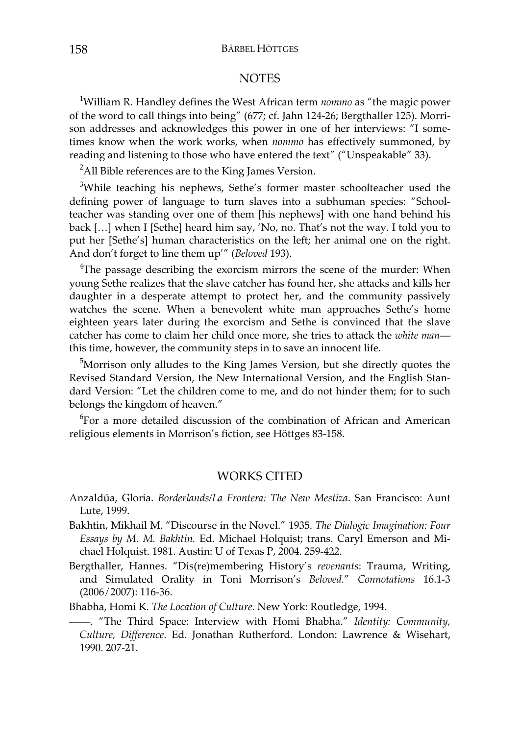## **NOTES**

1 William R. Handley defines the West African term *nommo* as "the magic power of the word to call things into being" (677; cf. Jahn 124-26; Bergthaller 125). Morrison addresses and acknowledges this power in one of her interviews: "I sometimes know when the work works, when *nommo* has effectively summoned, by reading and listening to those who have entered the text" ("Unspeakable" 33).

 $^{2}$ All Bible references are to the King James Version.

<sup>3</sup>While teaching his nephews, Sethe's former master schoolteacher used the defining power of language to turn slaves into a subhuman species: "Schoolteacher was standing over one of them [his nephews] with one hand behind his back […] when I [Sethe] heard him say, 'No, no. That's not the way. I told you to put her [Sethe's] human characteristics on the left; her animal one on the right. And don't forget to line them up'" (*Beloved* 193).

<sup>4</sup>The passage describing the exorcism mirrors the scene of the murder: When young Sethe realizes that the slave catcher has found her, she attacks and kills her daughter in a desperate attempt to protect her, and the community passively watches the scene. When a benevolent white man approaches Sethe's home eighteen years later during the exorcism and Sethe is convinced that the slave catcher has come to claim her child once more, she tries to attack the *white man* this time, however, the community steps in to save an innocent life.

<sup>5</sup>Morrison only alludes to the King James Version, but she directly quotes the Revised Standard Version, the New International Version, and the English Standard Version: "Let the children come to me, and do not hinder them; for to such belongs the kingdom of heaven."

<sup>6</sup>For a more detailed discussion of the combination of African and American religious elements in Morrison's fiction, see Höttges 83-158.

## WORKS CITED

- Anzaldúa, Gloria. *Borderlands/La Frontera: The New Mestiza*. San Francisco: Aunt Lute, 1999.
- Bakhtin, Mikhail M. "Discourse in the Novel." 1935. *The Dialogic Imagination: Four Essays by M. M. Bakhtin.* Ed. Michael Holquist; trans. Caryl Emerson and Michael Holquist. 1981. Austin: U of Texas P, 2004. 259-422.
- Bergthaller, Hannes. "Dis(re)membering History's *revenants*: Trauma, Writing, and Simulated Orality in Toni Morrison's *Beloved.*" *Connotations* 16.1-3 (2006/2007): 116-36.

Bhabha, Homi K. *The Location of Culture*. New York: Routledge, 1994.

——. "The Third Space: Interview with Homi Bhabha." *Identity: Community, Culture, Difference*. Ed. Jonathan Rutherford. London: Lawrence & Wisehart, 1990. 207-21.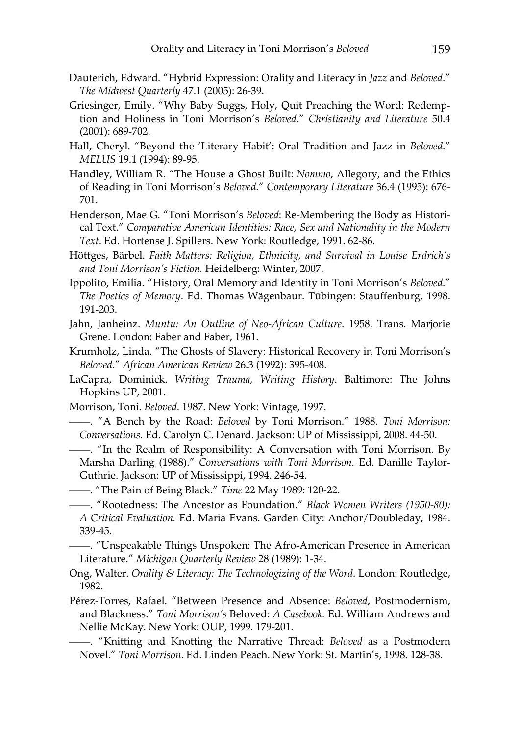- Dauterich, Edward. "Hybrid Expression: Orality and Literacy in *Jazz* and *Beloved*." *The Midwest Quarterly* 47.1 (2005): 26-39.
- Griesinger, Emily. "Why Baby Suggs, Holy, Quit Preaching the Word: Redemption and Holiness in Toni Morrison's *Beloved*." *Christianity and Literature* 50.4 (2001): 689-702.
- Hall, Cheryl. "Beyond the 'Literary Habit': Oral Tradition and Jazz in *Beloved*." *MELUS* 19.1 (1994): 89-95.
- Handley, William R. "The House a Ghost Built: *Nommo*, Allegory, and the Ethics of Reading in Toni Morrison's *Beloved*." *Contemporary Literature* 36.4 (1995): 676- 701.
- Henderson, Mae G. "Toni Morrison's *Beloved*: Re-Membering the Body as Historical Text." *Comparative American Identities: Race, Sex and Nationality in the Modern Text*. Ed. Hortense J. Spillers. New York: Routledge, 1991. 62-86.
- Höttges, Bärbel. *Faith Matters: Religion, Ethnicity, and Survival in Louise Erdrich's and Toni Morrison's Fiction.* Heidelberg: Winter, 2007.
- Ippolito, Emilia. "History, Oral Memory and Identity in Toni Morrison's *Beloved*." *The Poetics of Memory*. Ed. Thomas Wägenbaur. Tübingen: Stauffenburg, 1998. 191-203.
- Jahn, Janheinz. *Muntu: An Outline of Neo-African Culture*. 1958. Trans. Marjorie Grene. London: Faber and Faber, 1961.
- Krumholz, Linda. "The Ghosts of Slavery: Historical Recovery in Toni Morrison's *Beloved*." *African American Review* 26.3 (1992): 395-408.
- LaCapra, Dominick. *Writing Trauma, Writing History*. Baltimore: The Johns Hopkins UP, 2001.
- Morrison, Toni. *Beloved*. 1987. New York: Vintage, 1997.
- ——. "A Bench by the Road: *Beloved* by Toni Morrison." 1988. *Toni Morrison: Conversations*. Ed. Carolyn C. Denard. Jackson: UP of Mississippi, 2008. 44-50.
- ——. "In the Realm of Responsibility: A Conversation with Toni Morrison. By Marsha Darling (1988)." *Conversations with Toni Morrison.* Ed. Danille Taylor-Guthrie. Jackson: UP of Mississippi, 1994. 246-54.
- ——. "The Pain of Being Black." *Time* 22 May 1989: 120-22.
- ——. "Rootedness: The Ancestor as Foundation." *Black Women Writers (1950-80): A Critical Evaluation.* Ed. Maria Evans. Garden City: Anchor/Doubleday, 1984. 339-45.
- ——. "Unspeakable Things Unspoken: The Afro-American Presence in American Literature." *Michigan Quarterly Review* 28 (1989): 1-34.
- Ong, Walter. *Orality & Literacy: The Technologizing of the Word*. London: Routledge, 1982.
- Pérez-Torres, Rafael. "Between Presence and Absence: *Beloved*, Postmodernism, and Blackness." *Toni Morrison's* Beloved: *A Casebook.* Ed. William Andrews and Nellie McKay. New York: OUP, 1999. 179-201.
- ——. "Knitting and Knotting the Narrative Thread: *Beloved* as a Postmodern Novel." *Toni Morrison*. Ed. Linden Peach. New York: St. Martin's, 1998. 128-38.